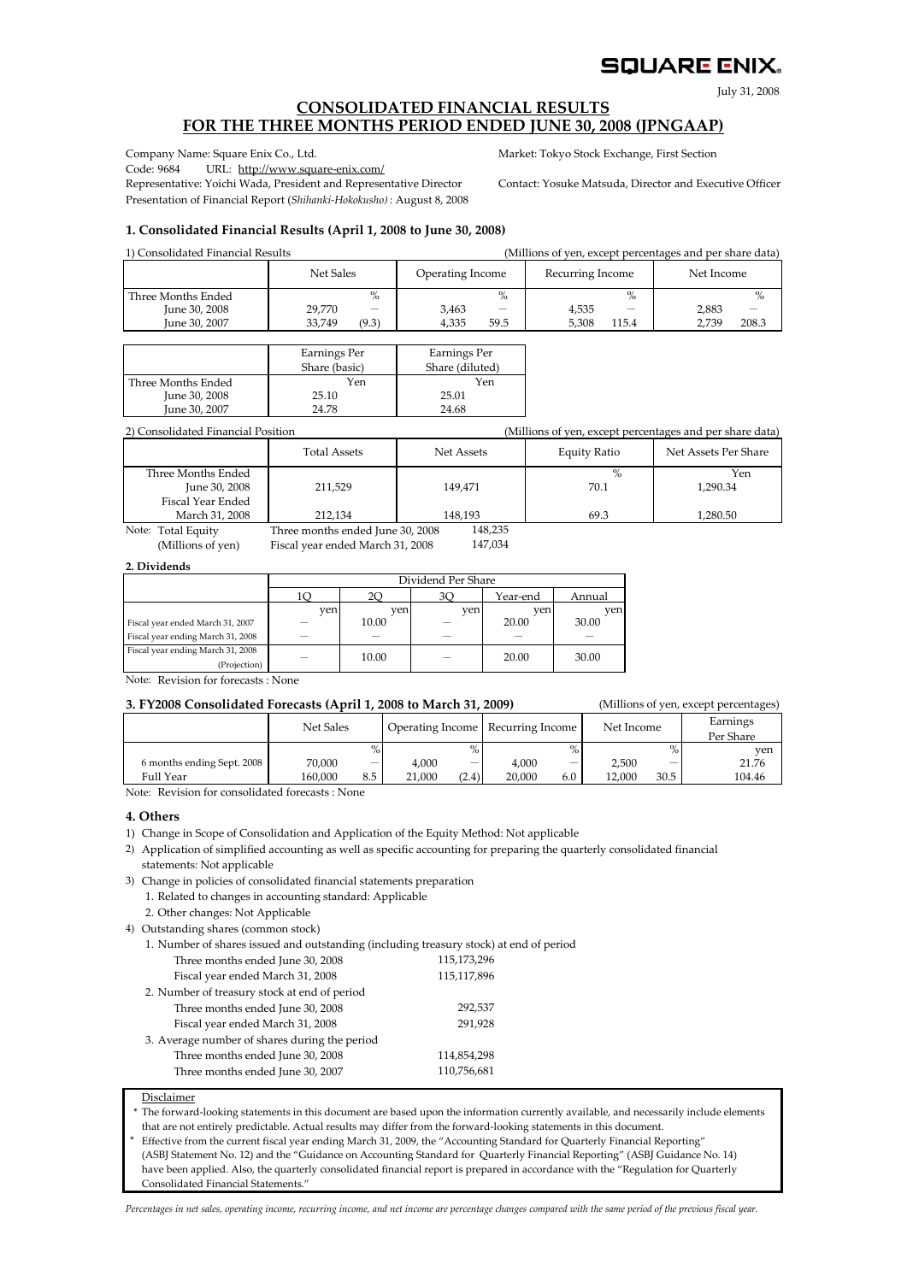### SQUARE ENIX.

July 31, 2008

#### **CONSOLIDATED FINANCIAL RESULTS FOR THE THREE MONTHS PERIOD ENDED JUNE 30, 2008 (JPNGAAP)**

Code: 9684 URL: http://www.square-enix.com/

Representative: Yoichi Wada, President and Representative Director Contact: Yosuke Matsuda, Director and Executive Officer Presentation of Financial Report (*Shihanki‐Hokokusho)* : August 8, 2008

Company Name: Square Enix Co., Ltd. Market: Tokyo Stock Exchange, First Section

#### **1. Consolidated Financial Results (April 1, 2008 to June 30, 2008)**

1) Consolidated Financial Results (Millions of yen, except percentages and per share data)

|                    | Net Sales       | Operating Income | Recurring Income                  | Net Income     |  |
|--------------------|-----------------|------------------|-----------------------------------|----------------|--|
| Three Months Ended | %               | $\%$             | $\%$                              | $\%$           |  |
| June 30, 2008      | 29.770<br>-     | 3,463<br>_       | 4,535<br>$\overline{\phantom{a}}$ | 2.883          |  |
| June 30, 2007      | 33.749<br>(9.3) | 59.5<br>4.335    | 5.308<br>115.4                    | 208.3<br>2.739 |  |

|                    | Earnings Per  | Earnings Per    |  |  |
|--------------------|---------------|-----------------|--|--|
|                    | Share (basic) | Share (diluted) |  |  |
| Three Months Ended | Yen           | Yen             |  |  |
| June 30, 2008      | 25.10         | 25.01           |  |  |
| June 30, 2007      | 24.78         | 24.68           |  |  |

2) Consolidated Financial Position (Millions of yen, except percentages and per share data)

|                    | <b>Total Assets</b>              | Net Assets | Equity Ratio | Net Assets Per Share |
|--------------------|----------------------------------|------------|--------------|----------------------|
| Three Months Ended |                                  |            | $\%$         | Yen                  |
| June 30, 2008      | 211.529                          | 149.471    | 70.1         | 1.290.34             |
| Fiscal Year Ended  |                                  |            |              |                      |
| March 31, 2008     | 212.134                          | 148.193    | 69.3         | 1.280.50             |
| Note: Total Equity | Three months ended June 30, 2008 | 148,235    |              |                      |

(Millions of yen) Fiscal year ended March 31, 2008

147,034

#### **2. Dividends**

|                                   |     | Dividend Per Share |     |          |        |  |  |  |  |
|-----------------------------------|-----|--------------------|-----|----------|--------|--|--|--|--|
|                                   | 10  |                    |     | Year-end | Annual |  |  |  |  |
|                                   | ven | ven                | ven | ven      | ven    |  |  |  |  |
| Fiscal year ended March 31, 2007  |     | 10.00              |     | 20.00    | 30.00  |  |  |  |  |
| Fiscal year ending March 31, 2008 |     |                    |     |          |        |  |  |  |  |
| Fiscal year ending March 31, 2008 |     | 10.00              | -   | 20.00    | 30.00  |  |  |  |  |
| (Projection)                      |     |                    |     |          |        |  |  |  |  |

Note: Revision for forecasts : None

#### **3. FY2008 Consolidated Forecasts (April 1, 2008 to March 31, 2009)** (Millions of yen, except percentages)

%  $\%$  yen  $\overline{\phantom{0}}$ 30.5 - 20,000 4,000 6.0 2,500 12,000  $(2.4)$ Recurring Income Net Income 21,000 4,000 8.5 Operating Income Full Year 70,000 160,000 - **Earnings** Per Share Net Sales 6 months ending Sept. 2008 21.76 104.46 -

Note: Revision for consolidated forecasts : None

#### **4. Others**

1) Change in Scope of Consolidation and Application of the Equity Method: Not applicable

2) Application of simplified accounting as well as specific accounting for preparing the quarterly consolidated financial statements: Not applicable

3) Change in policies of consolidated financial statements preparation 1. Related to changes in accounting standard: Applicable

2. Other changes: Not Applicable

4) Outstanding shares (common stock)

1. Number of shares issued and outstanding (including treasury stock) at end of period

| Three months ended June 30, 2008              | 115,173,296 |
|-----------------------------------------------|-------------|
| Fiscal year ended March 31, 2008              | 115,117,896 |
| 2. Number of treasury stock at end of period  |             |
| Three months ended June 30, 2008              | 292,537     |
| Fiscal year ended March 31, 2008              | 291,928     |
| 3. Average number of shares during the period |             |
| Three months ended June 30, 2008              | 114,854,298 |
| Three months ended June 30, 2007              | 110,756,681 |

Disclaimer

\* that are not entirely predictable. Actual results may differ from the forward‐looking statements in this document. The forward-looking statements in this document are based upon the information currently available, and necessarily include elements

\* Effective from the current fiscal year ending March 31, 2009, the "Accounting Standard for Quarterly Financial Reporting"

(ASBJ Statement No. 12) and the "Guidance on Accounting Standard for Quarterly Financial Reporting" (ASBJ Guidance No. 14) (ASBJ Statement No. 12) and the "Guidance on Accounting Standard for Quarterly Financial Reporting" (ASBJ Guidance No. 14)<br>have been applied. Also, the quarterly consolidated financial report is prepared in accordance with have been applied. Also, the quarterly consolidated financial report is prepared in accordance with the "Regulation for Quarterly

Percentages in net sales, operating income, recurring income, and net income are percentage changes compared with the same period of the previous fiscal year.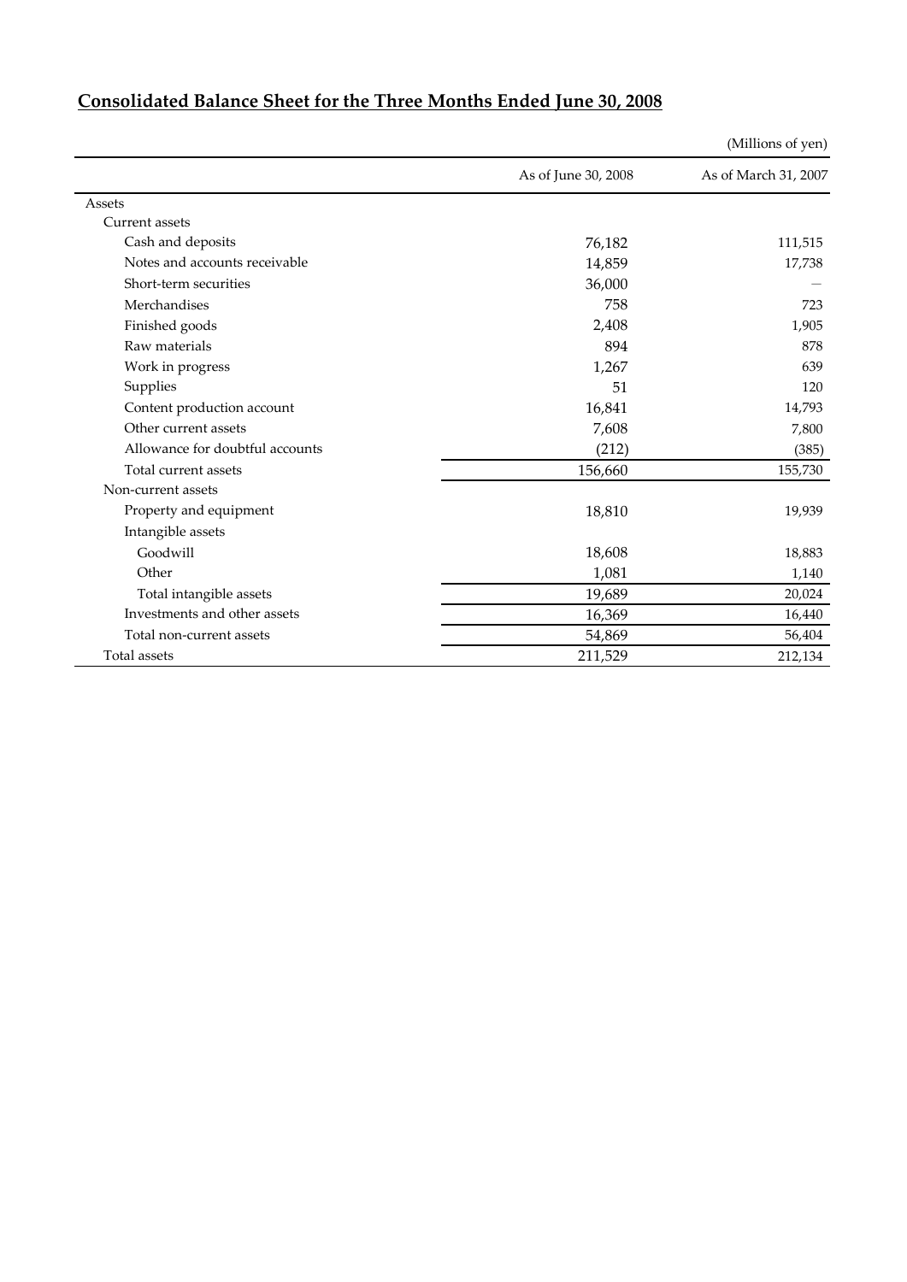|                                 |                     | (Millions of yen)    |
|---------------------------------|---------------------|----------------------|
|                                 | As of June 30, 2008 | As of March 31, 2007 |
| Assets                          |                     |                      |
| <b>Current</b> assets           |                     |                      |
| Cash and deposits               | 76,182              | 111,515              |
| Notes and accounts receivable   | 14,859              | 17,738               |
| Short-term securities           | 36,000              |                      |
| Merchandises                    | 758                 | 723                  |
| Finished goods                  | 2,408               | 1,905                |
| Raw materials                   | 894                 | 878                  |
| Work in progress                | 1,267               | 639                  |
| Supplies                        | 51                  | 120                  |
| Content production account      | 16,841              | 14,793               |
| Other current assets            | 7,608               | 7,800                |
| Allowance for doubtful accounts | (212)               | (385)                |
| Total current assets            | 156,660             | 155,730              |
| Non-current assets              |                     |                      |
| Property and equipment          | 18,810              | 19,939               |
| Intangible assets               |                     |                      |
| Goodwill                        | 18,608              | 18,883               |
| Other                           | 1,081               | 1,140                |
| Total intangible assets         | 19,689              | 20,024               |
| Investments and other assets    | 16,369              | 16,440               |
| Total non-current assets        | 54,869              | 56,404               |
| Total assets                    | 211,529             | 212,134              |

# **Consolidated Balance Sheet for the Three Months Ended June 30, 2008**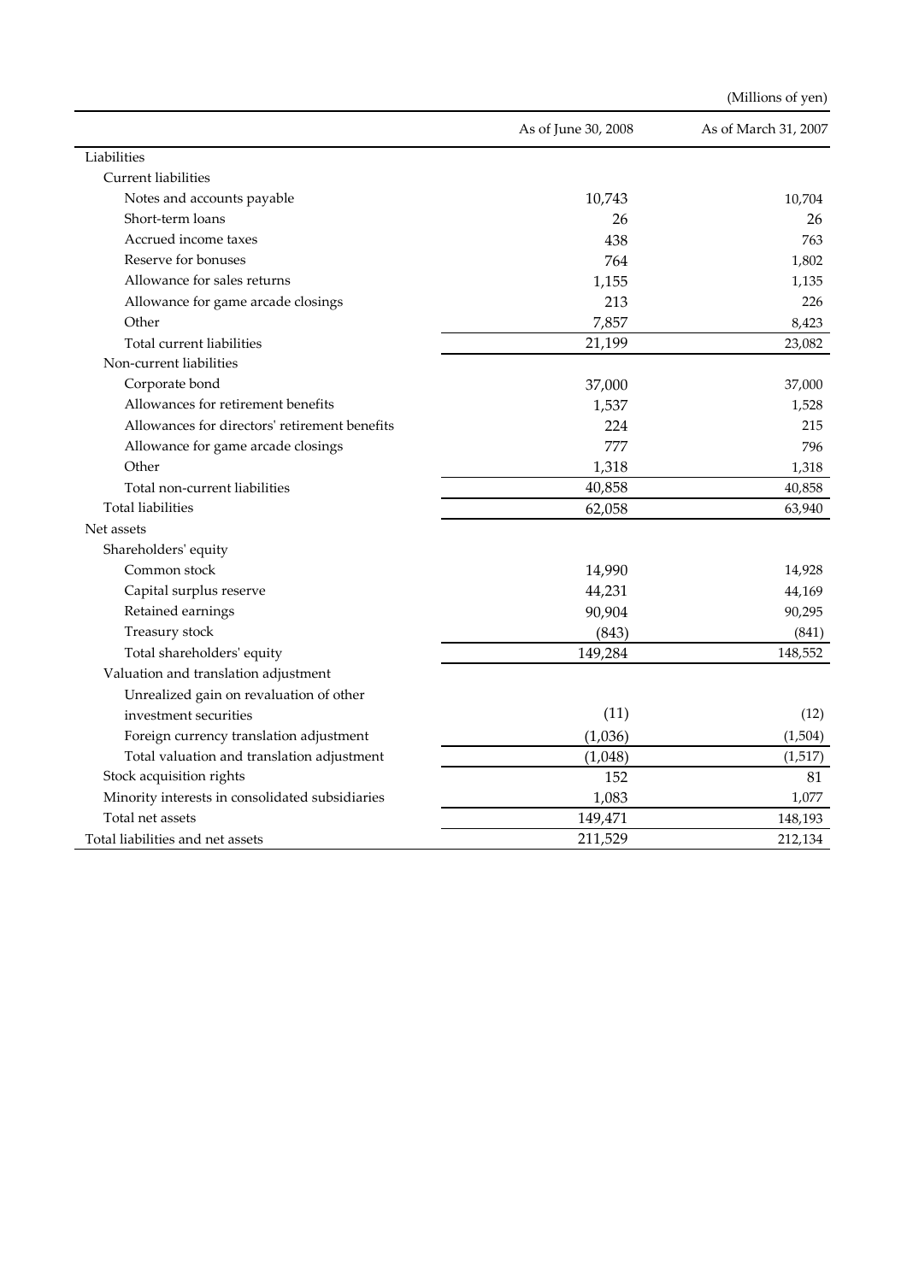|                                                 |                     | (Millions of yen)    |
|-------------------------------------------------|---------------------|----------------------|
|                                                 | As of June 30, 2008 | As of March 31, 2007 |
| Liabilities                                     |                     |                      |
| Current liabilities                             |                     |                      |
| Notes and accounts payable                      | 10,743              | 10,704               |
| Short-term loans                                | 26                  | 26                   |
| Accrued income taxes                            | 438                 | 763                  |
| Reserve for bonuses                             | 764                 | 1,802                |
| Allowance for sales returns                     | 1,155               | 1,135                |
| Allowance for game arcade closings              | 213                 | 226                  |
| Other                                           | 7,857               | 8,423                |
| Total current liabilities                       | 21,199              | 23,082               |
| Non-current liabilities                         |                     |                      |
| Corporate bond                                  | 37,000              | 37,000               |
| Allowances for retirement benefits              | 1,537               | 1,528                |
| Allowances for directors' retirement benefits   | 224                 | 215                  |
| Allowance for game arcade closings              | 777                 | 796                  |
| Other                                           | 1,318               | 1,318                |
| Total non-current liabilities                   | 40,858              | 40,858               |
| <b>Total liabilities</b>                        | 62,058              | 63,940               |
| Net assets                                      |                     |                      |
| Shareholders' equity                            |                     |                      |
| Common stock                                    | 14,990              | 14,928               |
| Capital surplus reserve                         | 44,231              | 44,169               |
| Retained earnings                               | 90,904              | 90,295               |
| Treasury stock                                  | (843)               | (841)                |
| Total shareholders' equity                      | 149,284             | 148,552              |
| Valuation and translation adjustment            |                     |                      |
| Unrealized gain on revaluation of other         |                     |                      |
| investment securities                           | (11)                | (12)                 |
| Foreign currency translation adjustment         | (1,036)             | (1,504)              |
| Total valuation and translation adjustment      | (1,048)             | (1,517)              |
| Stock acquisition rights                        | 152                 | 81                   |
| Minority interests in consolidated subsidiaries | 1,083               | 1,077                |
| Total net assets                                | 149,471             | 148,193              |
| Total liabilities and net assets                | 211,529             | 212,134              |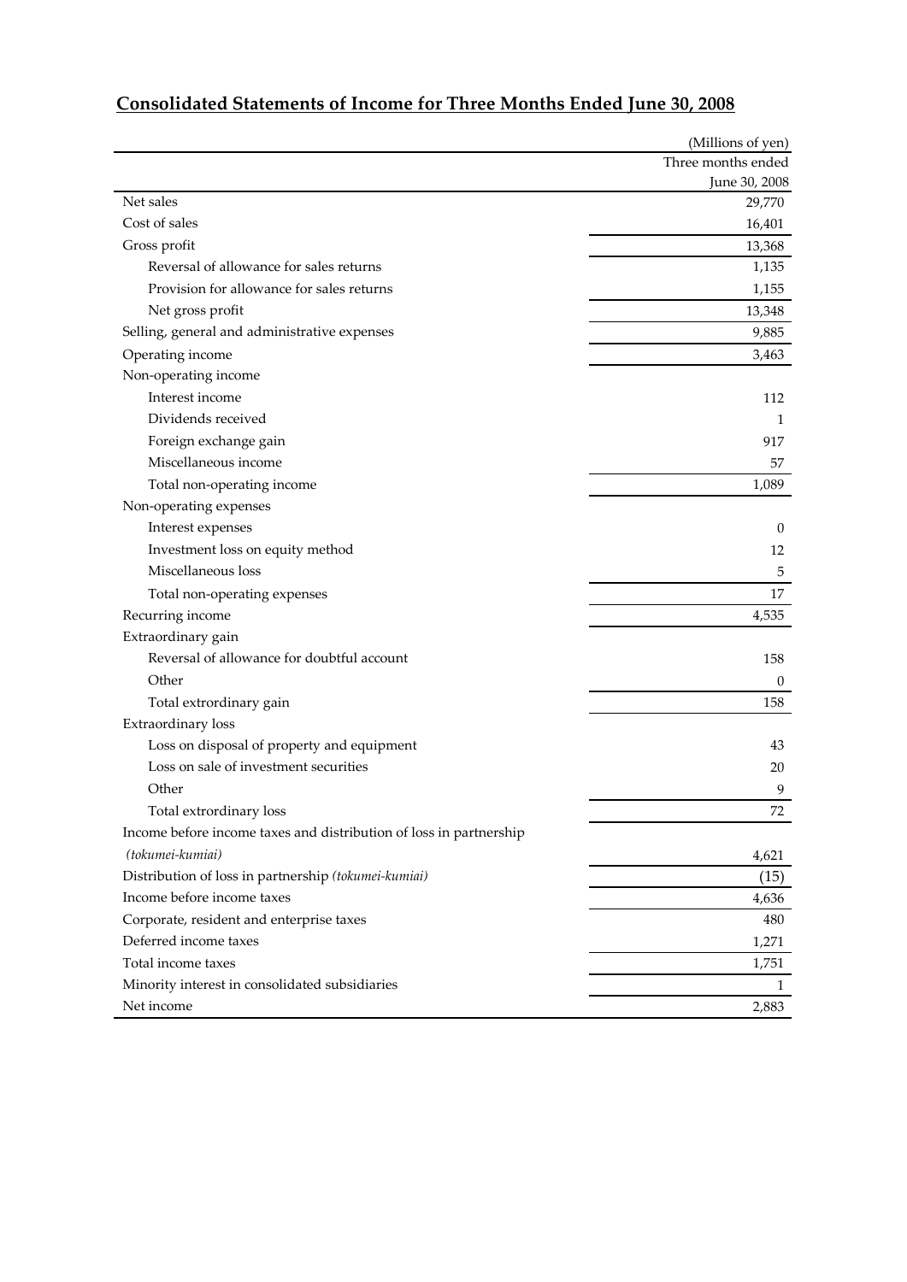|                                                                    | (Millions of yen)  |
|--------------------------------------------------------------------|--------------------|
|                                                                    | Three months ended |
|                                                                    | June 30, 2008      |
| Net sales                                                          | 29,770             |
| Cost of sales                                                      | 16,401             |
| Gross profit                                                       | 13,368             |
| Reversal of allowance for sales returns                            | 1,135              |
| Provision for allowance for sales returns                          | 1,155              |
| Net gross profit                                                   | 13,348             |
| Selling, general and administrative expenses                       | 9,885              |
| Operating income                                                   | 3,463              |
| Non-operating income                                               |                    |
| Interest income                                                    | 112                |
| Dividends received                                                 | 1                  |
| Foreign exchange gain                                              | 917                |
| Miscellaneous income                                               | 57                 |
| Total non-operating income                                         | 1,089              |
| Non-operating expenses                                             |                    |
| Interest expenses                                                  | $\theta$           |
| Investment loss on equity method                                   | 12                 |
| Miscellaneous loss                                                 | 5                  |
| Total non-operating expenses                                       | 17                 |
| Recurring income                                                   | 4,535              |
| Extraordinary gain                                                 |                    |
| Reversal of allowance for doubtful account                         | 158                |
| Other                                                              | $\boldsymbol{0}$   |
| Total extrordinary gain                                            | 158                |
| Extraordinary loss                                                 |                    |
| Loss on disposal of property and equipment                         | 43                 |
| Loss on sale of investment securities                              | 20                 |
| Other                                                              | 9                  |
| Total extrordinary loss                                            | 72                 |
| Income before income taxes and distribution of loss in partnership |                    |
| (tokumei-kumiai)                                                   | 4,621              |
| Distribution of loss in partnership (tokumei-kumiai)               | (15)               |
| Income before income taxes                                         | 4,636              |
| Corporate, resident and enterprise taxes                           | 480                |
| Deferred income taxes                                              | 1,271              |
| Total income taxes                                                 | 1,751              |
| Minority interest in consolidated subsidiaries                     | $\mathbf{1}$       |
| Net income                                                         | 2,883              |
|                                                                    |                    |

# **Consolidated Statements of Income for Three Months Ended June 30, 2008**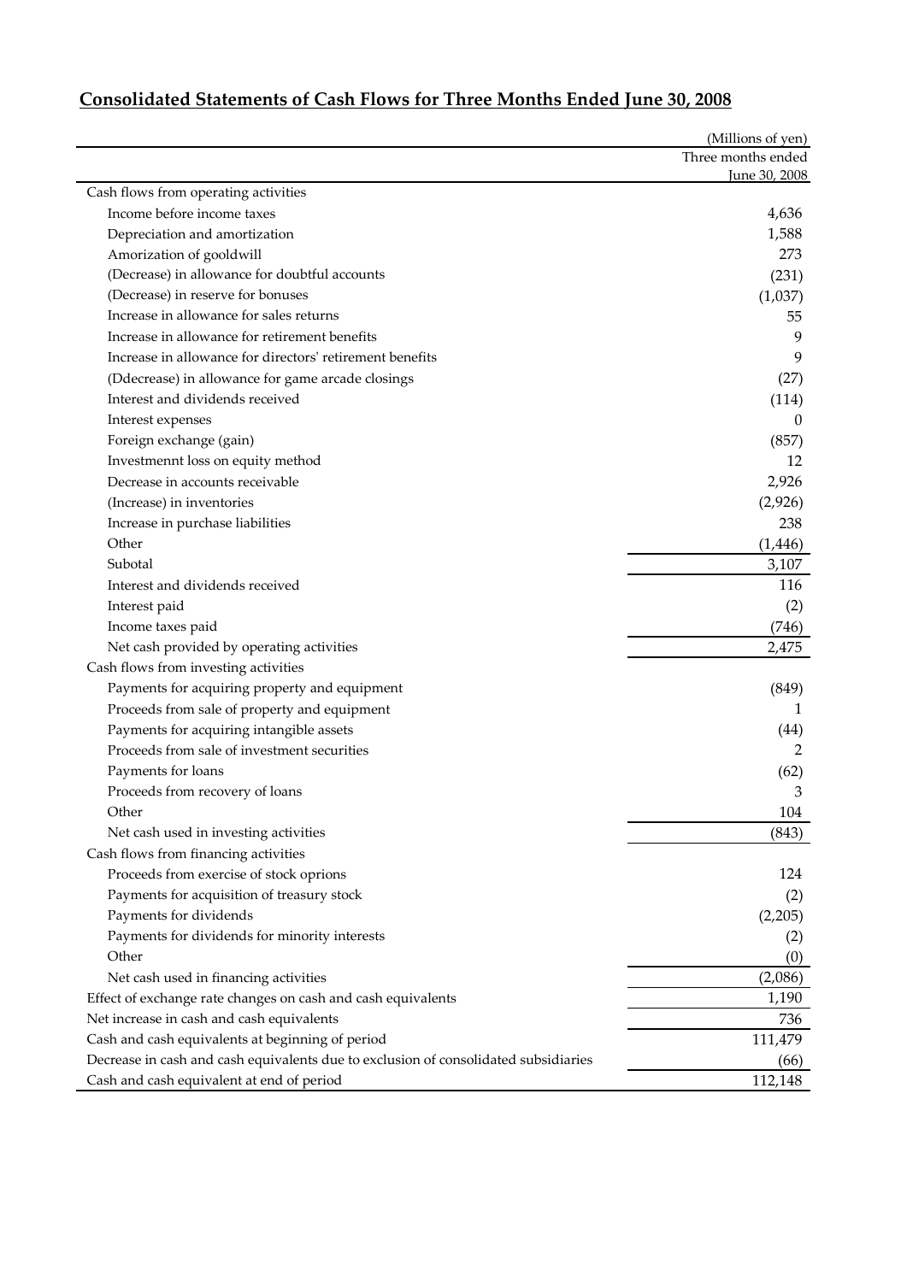|                                                              | (Millions of yen)  |
|--------------------------------------------------------------|--------------------|
|                                                              | Three months ended |
|                                                              | June 30, 2008      |
| Cash flows from operating activities                         |                    |
| Income before income taxes                                   | 4,636              |
| Depreciation and amortization                                | 1,588              |
| Amorization of gooldwill                                     | 273                |
| (Decrease) in allowance for doubtful accounts                | (231)              |
| (Decrease) in reserve for bonuses                            | (1,037)            |
| Increase in allowance for sales returns                      | 55                 |
| Increase in allowance for retirement benefits                | 9                  |
| Increase in allowance for directors' retirement benefits     | 9                  |
| (Ddecrease) in allowance for game arcade closings            | (27)               |
| Interest and dividends received                              | (114)              |
| Interest expenses                                            | 0                  |
| Foreign exchange (gain)                                      | (857)              |
| Investmennt loss on equity method                            | 12                 |
| Decrease in accounts receivable                              | 2,926              |
| (Increase) in inventories                                    | (2,926)            |
| Increase in purchase liabilities                             | 238                |
| Other                                                        | (1, 446)           |
| Subotal                                                      | 3,107              |
| Interest and dividends received                              | 116                |
| Interest paid                                                | (2)                |
| Income taxes paid                                            | (746)              |
| Net cash provided by operating activities                    | 2,475              |
| Cash flows from investing activities                         |                    |
| Payments for acquiring property and equipment                | (849)              |
| Proceeds from sale of property and equipment                 | 1                  |
| Payments for acquiring intangible assets                     | (44)               |
| Proceeds from sale of investment securities                  | 2                  |
| Payments for loans                                           | (62)               |
| Proceeds from recovery of loans                              | 3                  |
| Other                                                        | 104                |
| Net cash used in investing activities                        | (843)              |
| Cash flows from financing activities                         |                    |
| Proceeds from exercise of stock oprions                      | 124                |
| Payments for acquisition of treasury stock                   | (2)                |
| Payments for dividends                                       | (2,205)            |
| Payments for dividends for minority interests                | (2)                |
| Other                                                        | (0)                |
| Net cash used in financing activities                        | (2,086)            |
|                                                              |                    |
| Effect of exchange rate changes on cash and cash equivalents | 1,190              |
| Net increase in cash and cash equivalents                    | 736                |

## **Consolidated Statements of Cash Flows for Three Months Ended June 30, 2008**

Cash and cash equivalents at beginning of period 111,479 Decrease in cash and cash equivalents due to exclusion of consolidated subsidiaries (66) Cash and cash equivalent at end of period 112,148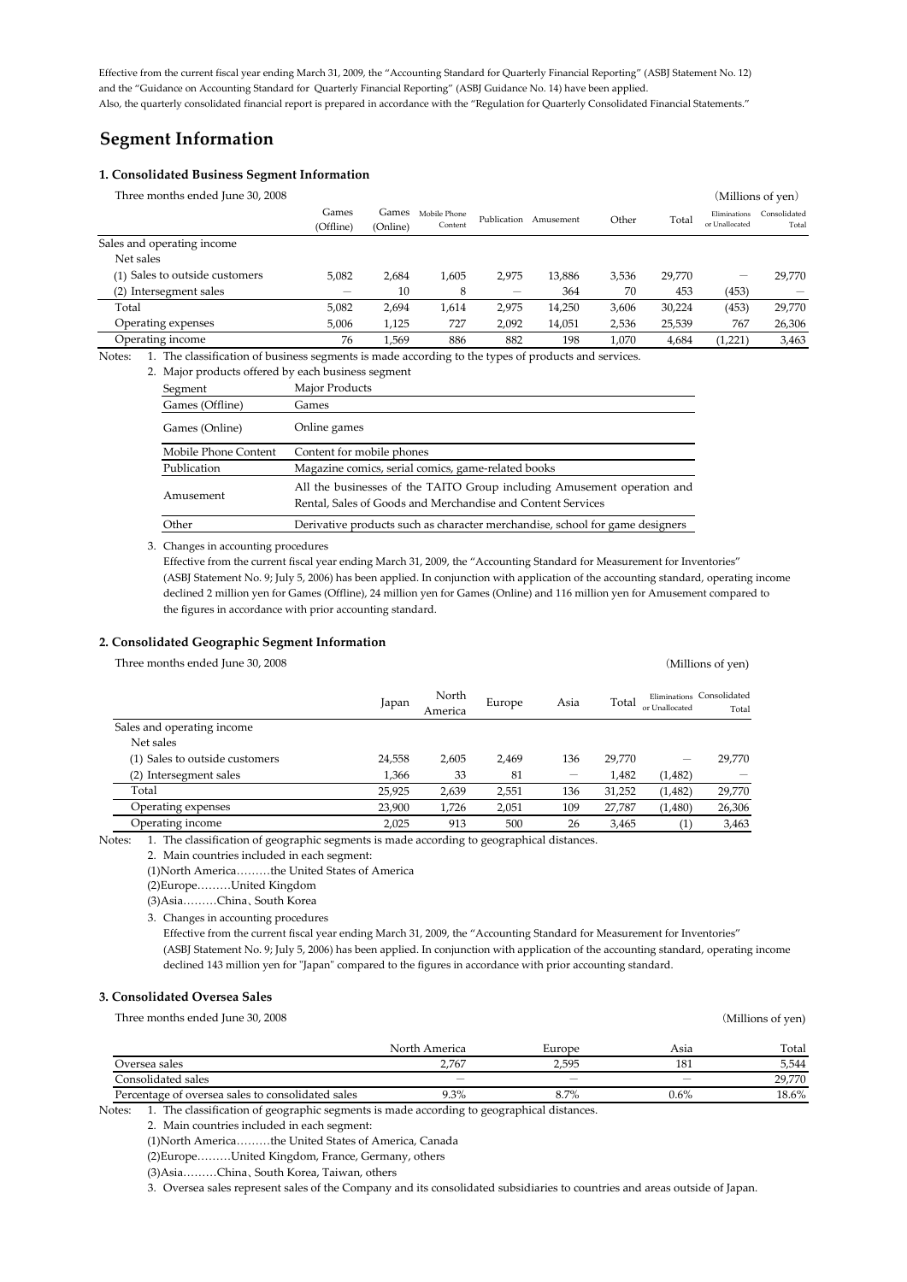Effective from the current fiscal year ending March 31, 2009, the "Accounting Standard for Quarterly Financial Reporting" (ASBJ Statement No. 12) and the "Guidance on Accounting Standard for Quarterly Financial Reporting" (ASBJ Guidance No. 14) have been applied. Also, the quarterly consolidated financial report is prepared in accordance with the "Regulation for Quarterly Consolidated Financial Statements."

## **Segment Information**

#### **1. Consolidated Business Segment Information**

| Three months ended June 30, 2008 |           |          |              |             |           |       |        |                | (Millions of yen) |
|----------------------------------|-----------|----------|--------------|-------------|-----------|-------|--------|----------------|-------------------|
|                                  | Games     | Games    | Mobile Phone | Publication | Amusement | Other | Total  | Eliminations   | Consolidated      |
|                                  | (Offline) | (Online) | Content      |             |           |       |        | or Unallocated | Total             |
| Sales and operating income       |           |          |              |             |           |       |        |                |                   |
| Net sales                        |           |          |              |             |           |       |        |                |                   |
| (1) Sales to outside customers   | 5,082     | 2,684    | 1,605        | 2.975       | 13,886    | 3,536 | 29,770 | -              | 29.770            |
| (2) Intersegment sales           | -         | 10       | 8            |             | 364       | 70    | 453    | (453)          |                   |
| Total                            | 5.082     | 2.694    | 1.614        | 2.975       | 14.250    | 3,606 | 30.224 | (453)          | 29,770            |
| Operating expenses               | 5,006     | 1,125    | 727          | 2,092       | 14,051    | 2,536 | 25,539 | 767            | 26,306            |
| Operating income                 | 76        | .569     | 886          | 882         | 198       | 1.070 | 4,684  | (1,221)        | 3,463             |
|                                  |           |          |              |             |           |       |        |                |                   |

Notes: 1. The classification of business segments is made according to the types of products and services.

| 2. Major products offered by each business segment |                                                                                                                                        |  |  |  |  |
|----------------------------------------------------|----------------------------------------------------------------------------------------------------------------------------------------|--|--|--|--|
| Segment                                            | Major Products                                                                                                                         |  |  |  |  |
| Games (Offline)                                    | Games                                                                                                                                  |  |  |  |  |
| Games (Online)                                     | Online games                                                                                                                           |  |  |  |  |
| Mobile Phone Content                               | Content for mobile phones                                                                                                              |  |  |  |  |
| Publication                                        | Magazine comics, serial comics, game-related books                                                                                     |  |  |  |  |
| Amusement                                          | All the businesses of the TAITO Group including Amusement operation and<br>Rental, Sales of Goods and Merchandise and Content Services |  |  |  |  |
| Other                                              | Derivative products such as character merchandise, school for game designers                                                           |  |  |  |  |

3. Changes in accounting procedures

the figures in accordance with prior accounting standard. Effective from the current fiscal year ending March 31, 2009, the "Accounting Standard for Measurement for Inventories" (ASBJ Statement No. 9; July 5, 2006) has been applied. In conjunction with application of the accounting standard, operating income declined 2 million yen for Games (Offline), 24 million yen for Games (Online) and 116 million yen for Amusement compared to

#### **2. Consolidated Geographic Segment Information**

|        |                  |        |      |        |         | (Millions of yen)                           |
|--------|------------------|--------|------|--------|---------|---------------------------------------------|
| Japan  | North<br>America | Europe | Asia | Total  |         | Total                                       |
|        |                  |        |      |        |         |                                             |
|        |                  |        |      |        |         |                                             |
| 24,558 | 2,605            | 2,469  | 136  | 29.770 |         | 29,770                                      |
| 1.366  | 33               | 81     | -    | 1,482  | (1,482) |                                             |
| 25,925 | 2,639            | 2,551  | 136  | 31,252 | (1,482) | 29,770                                      |
| 23,900 | 1,726            | 2,051  | 109  | 27,787 | (1,480) | 26,306                                      |
| 2,025  | 913              | 500    | 26   | 3,465  | (1)     | 3,463                                       |
|        |                  |        |      |        |         | Eliminations Consolidated<br>or Unallocated |

Notes: 1. The classification of geographic segments is made according to geographical distances.

2. Main countries included in each segment:

(1)North America………the United States of America

(2)Europe………United Kingdom

(3)Asia………China、South Korea

3. Changes in accounting procedures

(ASBJ Statement No. 9; July 5, 2006) has been applied. In conjunction with application of the accounting standard, operating income Effective from the current fiscal year ending March 31, 2009, the "Accounting Standard for Measurement for Inventories" declined 143 million yen for "Japan" compared to the figures in accordance with prior accounting standard.

#### **3. Consolidated Oversea Sales**

Three months ended June 30, 2008 (Millions of yen)

|                                                   | North America            | Europe | Asia    | Total    |
|---------------------------------------------------|--------------------------|--------|---------|----------|
| Oversea sales                                     | 2.767                    | 2.595  | 181     | 5,544    |
| Consolidated sales                                | $\overline{\phantom{a}}$ | _      |         | 29,770   |
| Percentage of oversea sales to consolidated sales | $9.3\%$                  | 8.7%   | $0.6\%$ | $18.6\%$ |

Notes: 1. The classification of geographic segments is made according to geographical distances.

2. Main countries included in each segment:

(1)North America………the United States of America, Canada

(2)Europe………United Kingdom, France, Germany, others

(3)Asia………China、South Korea, Taiwan, others

3. Oversea sales represent sales of the Company and its consolidated subsidiaries to countries and areas outside of Japan.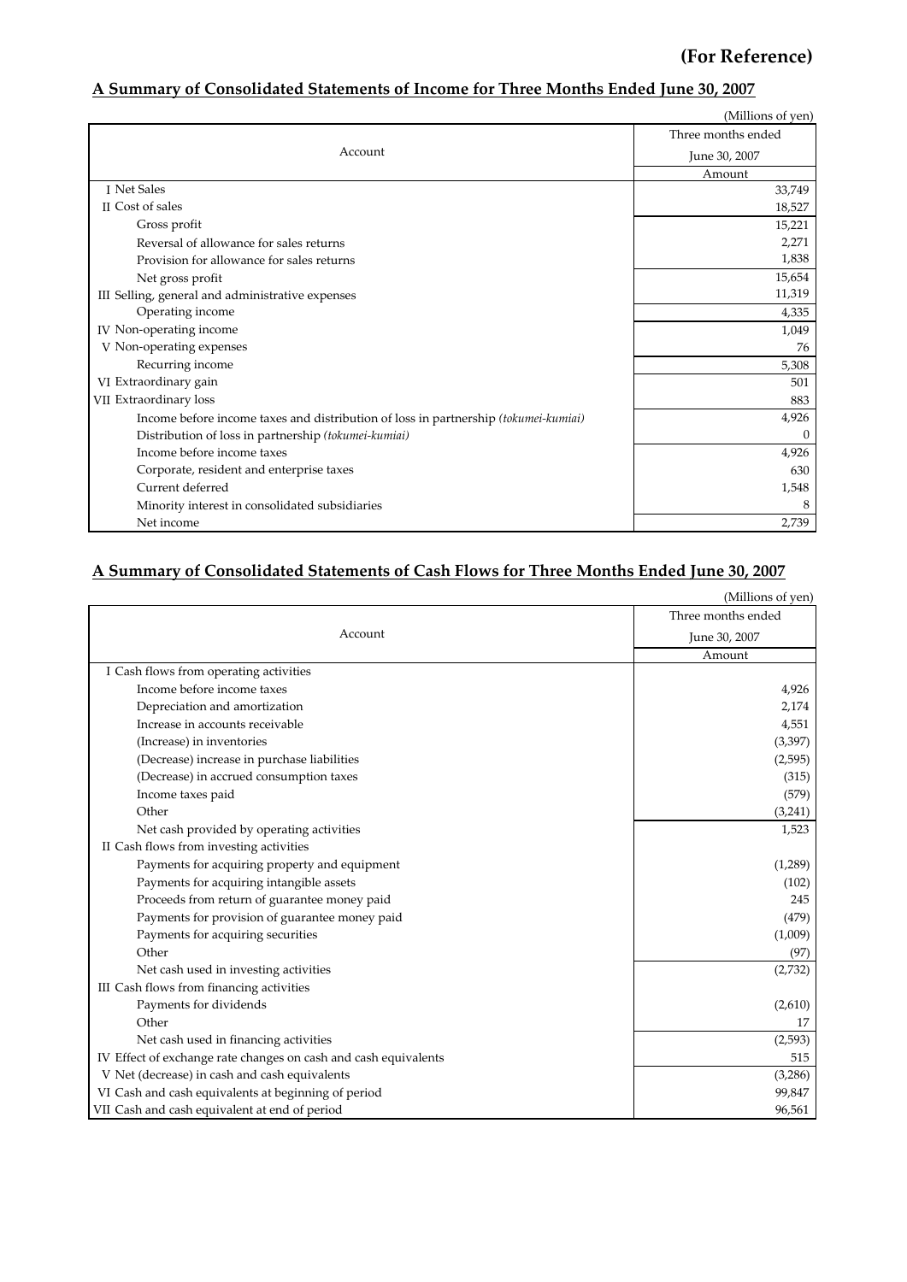## **(For Reference)**

## **A Summary of Consolidated Statements of Income for Three Months Ended June 30, 2007**

|                                                                                     | (Millions of yen)  |  |  |
|-------------------------------------------------------------------------------------|--------------------|--|--|
|                                                                                     | Three months ended |  |  |
| Account                                                                             | June 30, 2007      |  |  |
|                                                                                     | Amount             |  |  |
| I Net Sales                                                                         | 33,749             |  |  |
| II Cost of sales                                                                    | 18,527             |  |  |
| Gross profit                                                                        | 15,221             |  |  |
| Reversal of allowance for sales returns                                             | 2,271              |  |  |
| Provision for allowance for sales returns                                           | 1,838              |  |  |
| Net gross profit                                                                    | 15,654             |  |  |
| III Selling, general and administrative expenses                                    | 11,319             |  |  |
| Operating income                                                                    | 4,335              |  |  |
| IV Non-operating income                                                             | 1,049              |  |  |
| V Non-operating expenses                                                            | 76                 |  |  |
| Recurring income                                                                    | 5,308              |  |  |
| VI Extraordinary gain                                                               | 501                |  |  |
| VII Extraordinary loss                                                              | 883                |  |  |
| Income before income taxes and distribution of loss in partnership (tokumei-kumiai) | 4,926              |  |  |
| Distribution of loss in partnership (tokumei-kumiai)                                | $\Omega$           |  |  |
| Income before income taxes                                                          | 4,926              |  |  |
| Corporate, resident and enterprise taxes                                            | 630                |  |  |
| Current deferred                                                                    | 1,548              |  |  |
| Minority interest in consolidated subsidiaries                                      | 8                  |  |  |
| Net income                                                                          | 2,739              |  |  |

# **A Summary of Consolidated Statements of Cash Flows for Three Months Ended June 30, 2007**

|                                                                 | (Millions of yen)  |
|-----------------------------------------------------------------|--------------------|
|                                                                 | Three months ended |
| Account                                                         | June 30, 2007      |
|                                                                 | Amount             |
| I Cash flows from operating activities                          |                    |
| Income before income taxes                                      | 4,926              |
| Depreciation and amortization                                   | 2,174              |
| Increase in accounts receivable                                 | 4,551              |
| (Increase) in inventories                                       | (3, 397)           |
| (Decrease) increase in purchase liabilities                     | (2,595)            |
| (Decrease) in accrued consumption taxes                         | (315)              |
| Income taxes paid                                               | (579)              |
| Other                                                           | (3,241)            |
| Net cash provided by operating activities                       | 1,523              |
| II Cash flows from investing activities                         |                    |
| Payments for acquiring property and equipment                   | (1,289)            |
| Payments for acquiring intangible assets                        | (102)              |
| Proceeds from return of guarantee money paid                    | 245                |
| Payments for provision of guarantee money paid                  | (479)              |
| Payments for acquiring securities                               | (1,009)            |
| Other                                                           | (97)               |
| Net cash used in investing activities                           | (2,732)            |
| III Cash flows from financing activities                        |                    |
| Payments for dividends                                          | (2,610)            |
| Other                                                           | 17                 |
| Net cash used in financing activities                           | (2,593)            |
| IV Effect of exchange rate changes on cash and cash equivalents | 515                |
| V Net (decrease) in cash and cash equivalents                   | (3,286)            |
| VI Cash and cash equivalents at beginning of period             | 99,847             |
| VII Cash and cash equivalent at end of period                   | 96,561             |